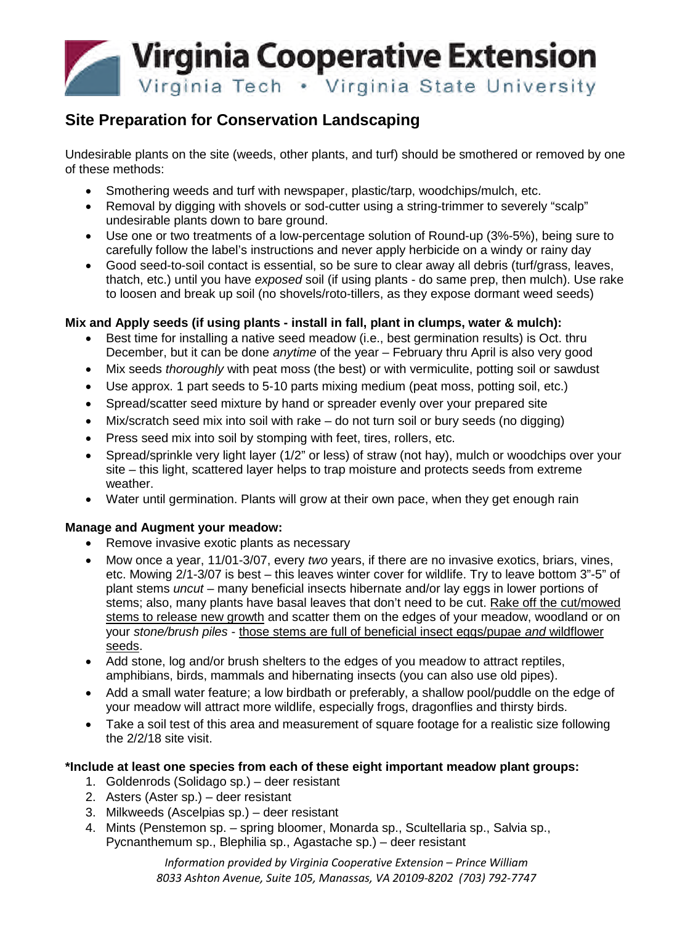

# **Site Preparation for Conservation Landscaping**

Undesirable plants on the site (weeds, other plants, and turf) should be smothered or removed by one of these methods:

- Smothering weeds and turf with newspaper, plastic/tarp, woodchips/mulch, etc.
- Removal by digging with shovels or sod-cutter using a string-trimmer to severely "scalp" undesirable plants down to bare ground.
- Use one or two treatments of a low-percentage solution of Round-up (3%-5%), being sure to carefully follow the label's instructions and never apply herbicide on a windy or rainy day
- Good seed-to-soil contact is essential, so be sure to clear away all debris (turf/grass, leaves, thatch, etc.) until you have *exposed* soil (if using plants - do same prep, then mulch). Use rake to loosen and break up soil (no shovels/roto-tillers, as they expose dormant weed seeds)

## **Mix and Apply seeds (if using plants - install in fall, plant in clumps, water & mulch):**

- Best time for installing a native seed meadow (i.e., best germination results) is Oct. thru December, but it can be done *anytime* of the year – February thru April is also very good
- Mix seeds *thoroughly* with peat moss (the best) or with vermiculite, potting soil or sawdust
- Use approx. 1 part seeds to 5-10 parts mixing medium (peat moss, potting soil, etc.)
- Spread/scatter seed mixture by hand or spreader evenly over your prepared site
- Mix/scratch seed mix into soil with rake do not turn soil or bury seeds (no digging)
- Press seed mix into soil by stomping with feet, tires, rollers, etc.
- Spread/sprinkle very light layer (1/2" or less) of straw (not hay), mulch or woodchips over your site – this light, scattered layer helps to trap moisture and protects seeds from extreme weather.
- Water until germination. Plants will grow at their own pace, when they get enough rain

## **Manage and Augment your meadow:**

- Remove invasive exotic plants as necessary
- Mow once a year, 11/01-3/07, every *two* years, if there are no invasive exotics, briars, vines, etc. Mowing 2/1-3/07 is best – this leaves winter cover for wildlife. Try to leave bottom 3"-5" of plant stems *uncut* – many beneficial insects hibernate and/or lay eggs in lower portions of stems; also, many plants have basal leaves that don't need to be cut. Rake off the cut/mowed stems to release new growth and scatter them on the edges of your meadow, woodland or on your *stone/brush piles* - those stems are full of beneficial insect eggs/pupae *and* wildflower seeds.
- Add stone, log and/or brush shelters to the edges of you meadow to attract reptiles, amphibians, birds, mammals and hibernating insects (you can also use old pipes).
- Add a small water feature; a low birdbath or preferably, a shallow pool/puddle on the edge of your meadow will attract more wildlife, especially frogs, dragonflies and thirsty birds.
- Take a soil test of this area and measurement of square footage for a realistic size following the 2/2/18 site visit.

## **\*Include at least one species from each of these eight important meadow plant groups:**

- 1. Goldenrods (Solidago sp.) deer resistant
- 2. Asters (Aster sp.) deer resistant
- 3. Milkweeds (Ascelpias sp.) deer resistant
- 4. Mints (Penstemon sp. spring bloomer, Monarda sp., Scultellaria sp., Salvia sp., Pycnanthemum sp., Blephilia sp., Agastache sp.) – deer resistant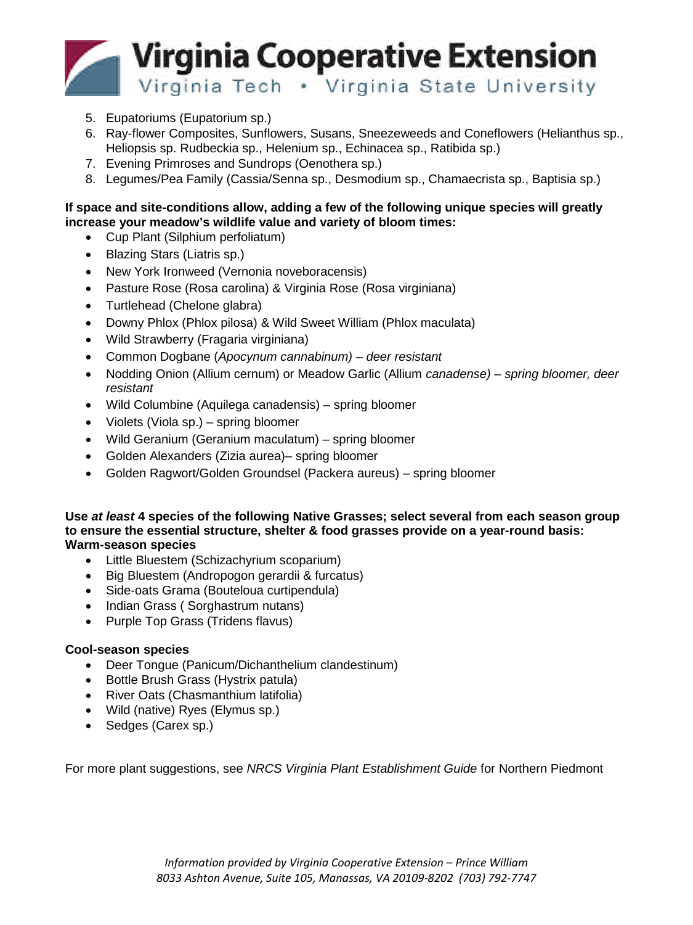

- 5. Eupatoriums (Eupatorium sp.)
- 6. Ray-flower Composites, Sunflowers, Susans, Sneezeweeds and Coneflowers (Helianthus sp., Heliopsis sp. Rudbeckia sp., Helenium sp., Echinacea sp., Ratibida sp.)
- 7. Evening Primroses and Sundrops (Oenothera sp.)
- 8. Legumes/Pea Family (Cassia/Senna sp., Desmodium sp., Chamaecrista sp., Baptisia sp.)

#### **If space and site-conditions allow, adding a few of the following unique species will greatly increase your meadow's wildlife value and variety of bloom times:**

- Cup Plant (Silphium perfoliatum)
- Blazing Stars (Liatris sp.)
- New York Ironweed (Vernonia noveboracensis)
- Pasture Rose (Rosa carolina) & Virginia Rose (Rosa virginiana)
- Turtlehead (Chelone glabra)
- Downy Phlox (Phlox pilosa) & Wild Sweet William (Phlox maculata)
- Wild Strawberry (Fragaria virginiana)
- Common Dogbane (*Apocynum cannabinum) deer resistant*
- Nodding Onion (Allium cernum) or Meadow Garlic (Allium *canadense) spring bloomer, deer resistant*
- Wild Columbine (Aquilega canadensis) spring bloomer
- Violets (Viola sp.) spring bloomer
- Wild Geranium (Geranium maculatum) spring bloomer
- Golden Alexanders (Zizia aurea)– spring bloomer
- Golden Ragwort/Golden Groundsel (Packera aureus) spring bloomer

#### **Use** *at least* **4 species of the following Native Grasses; select several from each season group to ensure the essential structure, shelter & food grasses provide on a year-round basis: Warm-season species**

- Little Bluestem (Schizachyrium scoparium)
- Big Bluestem (Andropogon gerardii & furcatus)
- Side-oats Grama (Bouteloua curtipendula)
- Indian Grass ( Sorghastrum nutans)
- Purple Top Grass (Tridens flavus)

#### **Cool-season species**

- Deer Tongue (Panicum/Dichanthelium clandestinum)
- Bottle Brush Grass (Hystrix patula)
- River Oats (Chasmanthium latifolia)
- Wild (native) Ryes (Elymus sp.)
- Sedges (Carex sp.)

For more plant suggestions, see *NRCS Virginia Plant Establishment Guide* for Northern Piedmont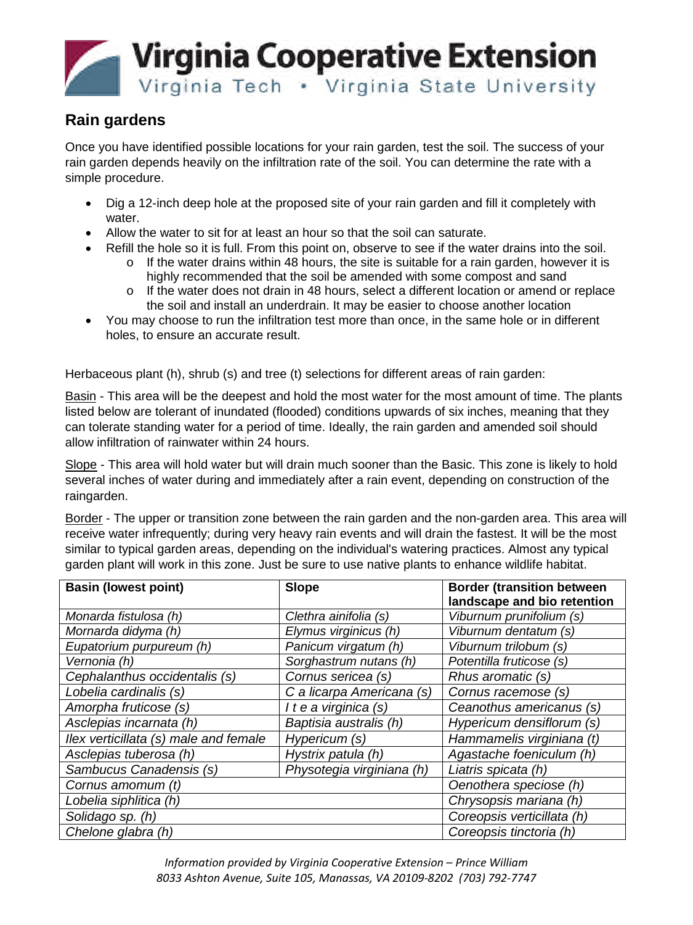

## **Rain gardens**

Once you have identified possible locations for your rain garden, test the soil. The success of your rain garden depends heavily on the infiltration rate of the soil. You can determine the rate with a simple procedure.

- Dig a 12-inch deep hole at the proposed site of your rain garden and fill it completely with water.
- Allow the water to sit for at least an hour so that the soil can saturate.
- Refill the hole so it is full. From this point on, observe to see if the water drains into the soil.
	- $\circ$  If the water drains within 48 hours, the site is suitable for a rain garden, however it is highly recommended that the soil be amended with some compost and sand
	- o If the water does not drain in 48 hours, select a different location or amend or replace the soil and install an underdrain. It may be easier to choose another location
- You may choose to run the infiltration test more than once, in the same hole or in different holes, to ensure an accurate result.

Herbaceous plant (h), shrub (s) and tree (t) selections for different areas of rain garden:

Basin - This area will be the deepest and hold the most water for the most amount of time. The plants listed below are tolerant of inundated (flooded) conditions upwards of six inches, meaning that they can tolerate standing water for a period of time. Ideally, the rain garden and amended soil should allow infiltration of rainwater within 24 hours.

Slope - This area will hold water but will drain much sooner than the Basic. This zone is likely to hold several inches of water during and immediately after a rain event, depending on construction of the raingarden.

Border - The upper or transition zone between the rain garden and the non-garden area. This area will receive water infrequently; during very heavy rain events and will drain the fastest. It will be the most similar to typical garden areas, depending on the individual's watering practices. Almost any typical garden plant will work in this zone. Just be sure to use native plants to enhance wildlife habitat.

| <b>Basin (lowest point)</b>           | <b>Slope</b>              | <b>Border (transition between</b> |
|---------------------------------------|---------------------------|-----------------------------------|
|                                       |                           | landscape and bio retention       |
| Monarda fistulosa (h)                 | Clethra ainifolia (s)     | Viburnum prunifolium (s)          |
| Mornarda didyma (h)                   | Elymus virginicus (h)     | Viburnum dentatum (s)             |
| Eupatorium purpureum (h)              | Panicum virgatum (h)      | Viburnum trilobum (s)             |
| Vernonia (h)                          | Sorghastrum nutans (h)    | Potentilla fruticose (s)          |
| Cephalanthus occidentalis (s)         | Cornus sericea (s)        | Rhus aromatic (s)                 |
| Lobelia cardinalis (s)                | C a licarpa Americana (s) | Cornus racemose (s)               |
| Amorpha fruticose (s)                 | I t e a virginica (s)     | Ceanothus americanus (s)          |
| Asclepias incarnata (h)               | Baptisia australis (h)    | Hypericum densiflorum (s)         |
| Ilex verticillata (s) male and female | Hypericum (s)             | Hammamelis virginiana (t)         |
| Asclepias tuberosa (h)                | Hystrix patula (h)        | Agastache foeniculum (h)          |
| Sambucus Canadensis (s)               | Physotegia virginiana (h) | Liatris spicata (h)               |
| Cornus amomum (t)                     |                           | Oenothera speciose (h)            |
| Lobelia siphlitica (h)                |                           | Chrysopsis mariana (h)            |
| Solidago sp. (h)                      |                           | Coreopsis verticillata (h)        |
| Chelone glabra (h)                    |                           | Coreopsis tinctoria (h)           |